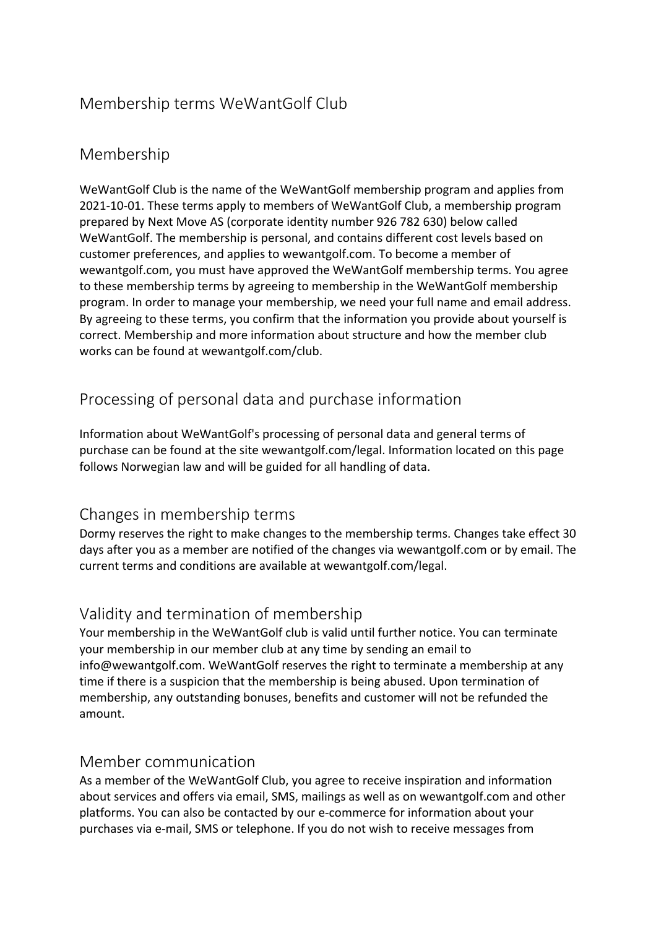## Membership terms WeWantGolf Club

## Membership

WeWantGolf Club is the name of the WeWantGolf membership program and applies from 2021-10-01. These terms apply to members of WeWantGolf Club, a membership program prepared by Next Move AS (corporate identity number 926 782 630) below called WeWantGolf. The membership is personal, and contains different cost levels based on customer preferences, and applies to wewantgolf.com. To become a member of wewantgolf.com, you must have approved the WeWantGolf membership terms. You agree to these membership terms by agreeing to membership in the WeWantGolf membership program. In order to manage your membership, we need your full name and email address. By agreeing to these terms, you confirm that the information you provide about yourself is correct. Membership and more information about structure and how the member club works can be found at wewantgolf.com/club.

# Processing of personal data and purchase information

Information about WeWantGolf's processing of personal data and general terms of purchase can be found at the site wewantgolf.com/legal. Information located on this page follows Norwegian law and will be guided for all handling of data.

### Changes in membership terms

Dormy reserves the right to make changes to the membership terms. Changes take effect 30 days after you as a member are notified of the changes via wewantgolf.com or by email. The current terms and conditions are available at wewantgolf.com/legal.

## Validity and termination of membership

Your membership in the WeWantGolf club is valid until further notice. You can terminate your membership in our member club at any time by sending an email to info@wewantgolf.com. WeWantGolf reserves the right to terminate a membership at any time if there is a suspicion that the membership is being abused. Upon termination of membership, any outstanding bonuses, benefits and customer will not be refunded the amount.

### Member communication

As a member of the WeWantGolf Club, you agree to receive inspiration and information about services and offers via email, SMS, mailings as well as on wewantgolf.com and other platforms. You can also be contacted by our e-commerce for information about your purchases via e-mail, SMS or telephone. If you do not wish to receive messages from